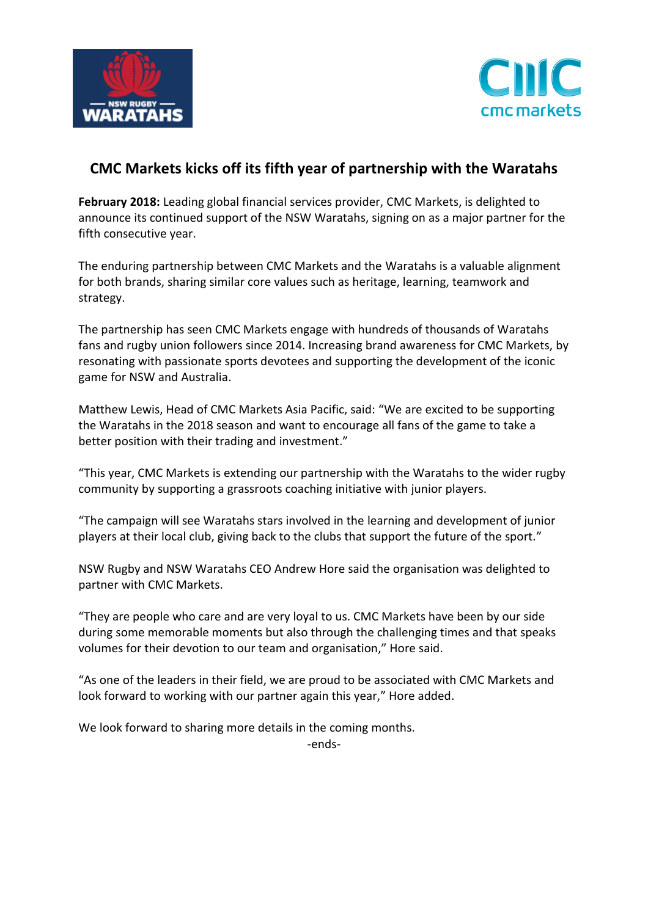



## **CMC Markets kicks off its fifth year of partnership with the Waratahs**

**February 2018:** Leading global financial services provider, CMC Markets, is delighted to announce its continued support of the NSW Waratahs, signing on as a major partner for the fifth consecutive year.

The enduring partnership between CMC Markets and the Waratahs is a valuable alignment for both brands, sharing similar core values such as heritage, learning, teamwork and strategy.

The partnership has seen CMC Markets engage with hundreds of thousands of Waratahs fans and rugby union followers since 2014. Increasing brand awareness for CMC Markets, by resonating with passionate sports devotees and supporting the development of the iconic game for NSW and Australia.

Matthew Lewis, Head of CMC Markets Asia Pacific, said: "We are excited to be supporting the Waratahs in the 2018 season and want to encourage all fans of the game to take a better position with their trading and investment."

"This year, CMC Markets is extending our partnership with the Waratahs to the wider rugby community by supporting a grassroots coaching initiative with junior players.

"The campaign will see Waratahs stars involved in the learning and development of junior players at their local club, giving back to the clubs that support the future of the sport."

NSW Rugby and NSW Waratahs CEO Andrew Hore said the organisation was delighted to partner with CMC Markets.

"They are people who care and are very loyal to us. CMC Markets have been by our side during some memorable moments but also through the challenging times and that speaks volumes for their devotion to our team and organisation," Hore said.

"As one of the leaders in their field, we are proud to be associated with CMC Markets and look forward to working with our partner again this year," Hore added.

We look forward to sharing more details in the coming months.

-ends-